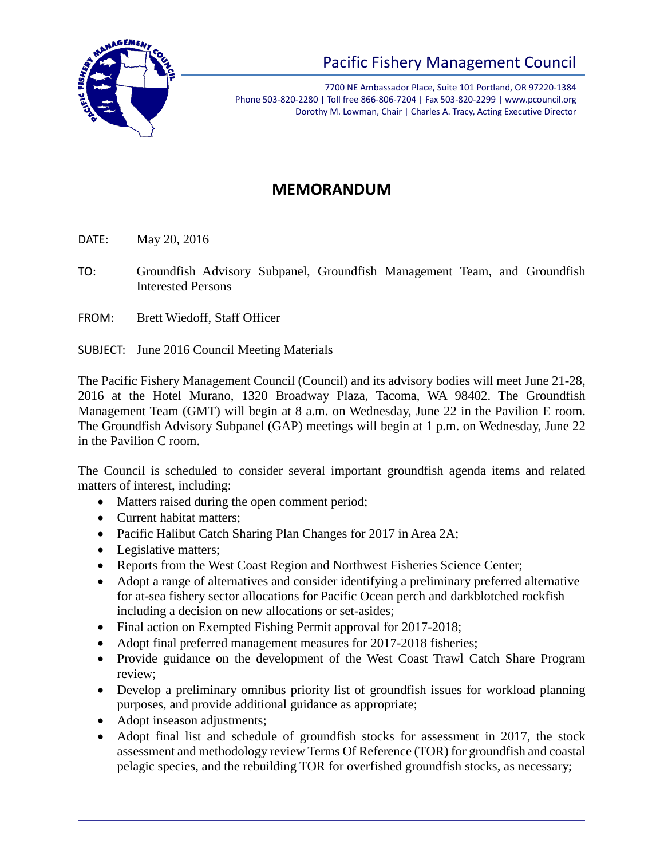

## Pacific Fishery Management Council

7700 NE Ambassador Place, Suite 101 Portland, OR 97220-1384 Phone 503-820-2280 | Toll free 866-806-7204 | Fax 503-820-2299 | www.pcouncil.org Dorothy M. Lowman, Chair | Charles A. Tracy, Acting Executive Director

## **MEMORANDUM**

DATE: May 20, 2016

- TO: Groundfish Advisory Subpanel, Groundfish Management Team, and Groundfish Interested Persons
- FROM: Brett Wiedoff, Staff Officer

SUBJECT: June 2016 Council Meeting Materials

The Pacific Fishery Management Council (Council) and its advisory bodies will meet June 21-28, 2016 at the Hotel Murano, 1320 Broadway Plaza, Tacoma, WA 98402. The Groundfish Management Team (GMT) will begin at 8 a.m. on Wednesday, June 22 in the Pavilion E room. The Groundfish Advisory Subpanel (GAP) meetings will begin at 1 p.m. on Wednesday, June 22 in the Pavilion C room.

The Council is scheduled to consider several important groundfish agenda items and related matters of interest, including:

- Matters raised during the open comment period;
- Current habitat matters;
- Pacific Halibut Catch Sharing Plan Changes for 2017 in Area 2A;
- Legislative matters;
- Reports from the West Coast Region and Northwest Fisheries Science Center;
- Adopt a range of alternatives and consider identifying a preliminary preferred alternative for at-sea fishery sector allocations for Pacific Ocean perch and darkblotched rockfish including a decision on new allocations or set-asides;
- Final action on Exempted Fishing Permit approval for 2017-2018;
- Adopt final preferred management measures for 2017-2018 fisheries;
- Provide guidance on the development of the West Coast Trawl Catch Share Program review;
- Develop a preliminary omnibus priority list of groundfish issues for workload planning purposes, and provide additional guidance as appropriate;
- Adopt inseason adjustments;
- Adopt final list and schedule of groundfish stocks for assessment in 2017, the stock assessment and methodology review Terms Of Reference (TOR) for groundfish and coastal pelagic species, and the rebuilding TOR for overfished groundfish stocks, as necessary;